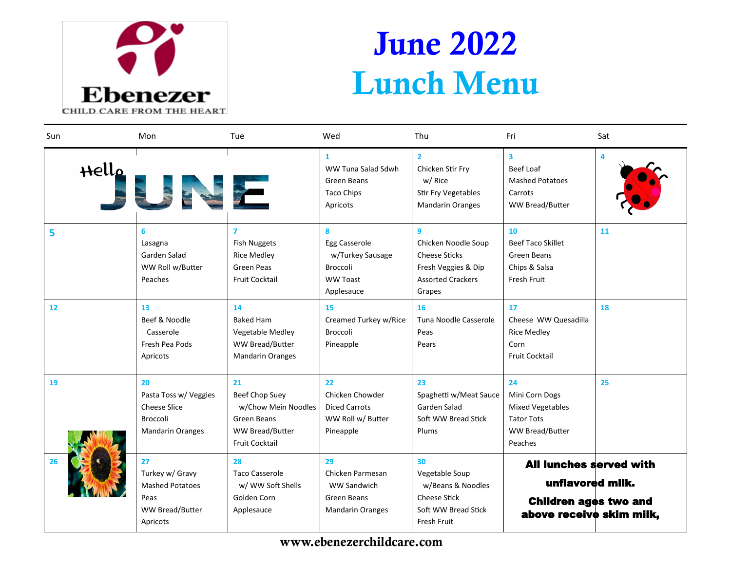

## June 2022 Lunch Menu

| Sun   | Mon                                                                                              | Tue                                                                                                           | Wed                                                                                        | Thu                                                                                                                      | Fri                                                                                                            | Sat |
|-------|--------------------------------------------------------------------------------------------------|---------------------------------------------------------------------------------------------------------------|--------------------------------------------------------------------------------------------|--------------------------------------------------------------------------------------------------------------------------|----------------------------------------------------------------------------------------------------------------|-----|
| Hello | READERS                                                                                          |                                                                                                               | $\mathbf{1}$<br>WW Tuna Salad Sdwh<br>Green Beans<br><b>Taco Chips</b><br>Apricots         | $\overline{2}$<br>Chicken Stir Fry<br>w/ Rice<br>Stir Fry Vegetables<br><b>Mandarin Oranges</b>                          | $\overline{\mathbf{3}}$<br>Beef Loaf<br><b>Mashed Potatoes</b><br>Carrots<br>WW Bread/Butter                   |     |
| 5     | 6<br>Lasagna<br>Garden Salad<br>WW Roll w/Butter<br>Peaches                                      | 7<br><b>Fish Nuggets</b><br><b>Rice Medley</b><br>Green Peas<br><b>Fruit Cocktail</b>                         | 8<br>Egg Casserole<br>w/Turkey Sausage<br><b>Broccoli</b><br><b>WW Toast</b><br>Applesauce | $\mathbf{q}$<br>Chicken Noodle Soup<br><b>Cheese Sticks</b><br>Fresh Veggies & Dip<br><b>Assorted Crackers</b><br>Grapes | 10<br><b>Beef Taco Skillet</b><br>Green Beans<br>Chips & Salsa<br><b>Fresh Fruit</b>                           | 11  |
| 12    | 13<br>Beef & Noodle<br>Casserole<br>Fresh Pea Pods<br>Apricots                                   | 14<br><b>Baked Ham</b><br>Vegetable Medley<br><b>WW Bread/Butter</b><br><b>Mandarin Oranges</b>               | 15<br>Creamed Turkey w/Rice<br><b>Broccoli</b><br>Pineapple                                | 16<br>Tuna Noodle Casserole<br>Peas<br>Pears                                                                             | 17<br>Cheese WW Quesadilla<br><b>Rice Medley</b><br>Corn<br><b>Fruit Cocktail</b>                              | 18  |
| 19    | 20<br>Pasta Toss w/ Veggies<br><b>Cheese Slice</b><br><b>Broccoli</b><br><b>Mandarin Oranges</b> | 21<br><b>Beef Chop Suey</b><br>w/Chow Mein Noodles<br>Green Beans<br>WW Bread/Butter<br><b>Fruit Cocktail</b> | 22<br>Chicken Chowder<br><b>Diced Carrots</b><br>WW Roll w/ Butter<br>Pineapple            | 23<br>Spaghetti w/Meat Sauce<br>Garden Salad<br>Soft WW Bread Stick<br>Plums                                             | 24<br>Mini Corn Dogs<br><b>Mixed Vegetables</b><br><b>Tator Tots</b><br>WW Bread/Butter<br>Peaches             | 25  |
| 26    | 27<br>Turkey w/ Gravy<br><b>Mashed Potatoes</b><br>Peas<br><b>WW Bread/Butter</b><br>Apricots    | 28<br><b>Taco Casserole</b><br>w/ WW Soft Shells<br>Golden Corn<br>Applesauce                                 | 29<br>Chicken Parmesan<br><b>WW Sandwich</b><br>Green Beans<br><b>Mandarin Oranges</b>     | 30<br>Vegetable Soup<br>w/Beans & Noodles<br>Cheese Stick<br>Soft WW Bread Stick<br>Fresh Fruit                          | <b>All lunches served with</b><br>unflavored milk.<br><b>Children ages two and</b><br>above receive skim milk, |     |